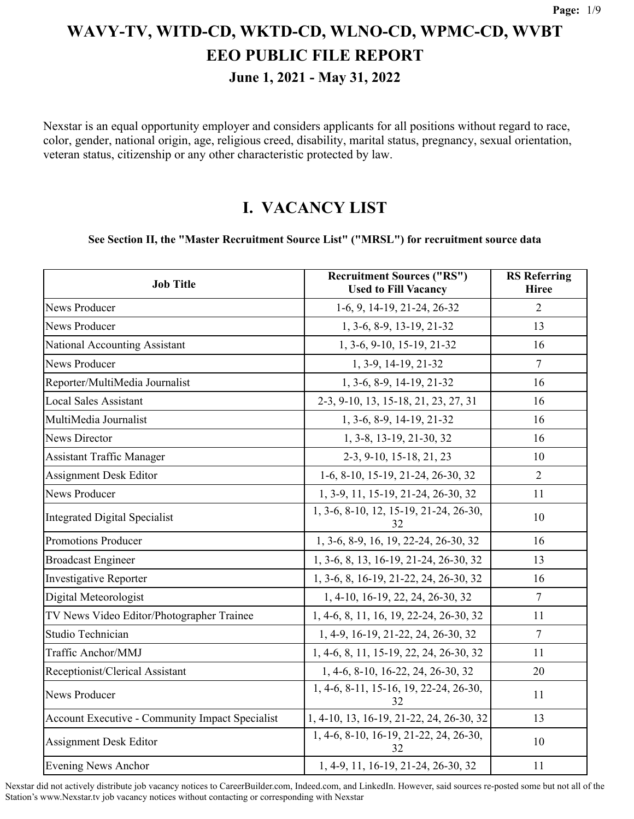**June 1, 2021 - May 31, 2022**

Nexstar is an equal opportunity employer and considers applicants for all positions without regard to race, color, gender, national origin, age, religious creed, disability, marital status, pregnancy, sexual orientation, veteran status, citizenship or any other characteristic protected by law.

#### **I. VACANCY LIST**

#### **See Section II, the "Master Recruitment Source List" ("MRSL") for recruitment source data**

| <b>Job Title</b>                                | <b>Recruitment Sources ("RS")</b><br><b>Used to Fill Vacancy</b> | <b>RS</b> Referring<br><b>Hiree</b> |
|-------------------------------------------------|------------------------------------------------------------------|-------------------------------------|
| News Producer                                   | 1-6, 9, 14-19, 21-24, 26-32                                      | 2                                   |
| News Producer                                   | 1, 3-6, 8-9, 13-19, 21-32                                        | 13                                  |
| National Accounting Assistant                   | 1, 3-6, 9-10, 15-19, 21-32                                       | 16                                  |
| <b>News Producer</b>                            | 1, 3-9, 14-19, 21-32                                             | $\tau$                              |
| Reporter/MultiMedia Journalist                  | 1, 3-6, 8-9, 14-19, 21-32                                        | 16                                  |
| <b>Local Sales Assistant</b>                    | 2-3, 9-10, 13, 15-18, 21, 23, 27, 31                             | 16                                  |
| MultiMedia Journalist                           | 1, 3-6, 8-9, 14-19, 21-32                                        | 16                                  |
| <b>News Director</b>                            | 1, 3-8, 13-19, 21-30, 32                                         | 16                                  |
| <b>Assistant Traffic Manager</b>                | 2-3, 9-10, 15-18, 21, 23                                         | 10                                  |
| <b>Assignment Desk Editor</b>                   | 1-6, 8-10, 15-19, 21-24, 26-30, 32                               | $\overline{2}$                      |
| <b>News Producer</b>                            | 1, 3-9, 11, 15-19, 21-24, 26-30, 32                              | 11                                  |
| <b>Integrated Digital Specialist</b>            | 1, 3-6, 8-10, 12, 15-19, 21-24, 26-30,<br>32                     | 10                                  |
| Promotions Producer                             | 1, 3-6, 8-9, 16, 19, 22-24, 26-30, 32                            | 16                                  |
| <b>Broadcast Engineer</b>                       | 1, 3-6, 8, 13, 16-19, 21-24, 26-30, 32                           | 13                                  |
| <b>Investigative Reporter</b>                   | 1, 3-6, 8, 16-19, 21-22, 24, 26-30, 32                           | 16                                  |
| Digital Meteorologist                           | 1, 4-10, 16-19, 22, 24, 26-30, 32                                | $\overline{7}$                      |
| TV News Video Editor/Photographer Trainee       | 1, 4-6, 8, 11, 16, 19, 22-24, 26-30, 32                          | 11                                  |
| Studio Technician                               | 1, 4-9, 16-19, 21-22, 24, 26-30, 32                              | 7                                   |
| Traffic Anchor/MMJ                              | 1, 4-6, 8, 11, 15-19, 22, 24, 26-30, 32                          | 11                                  |
| Receptionist/Clerical Assistant                 | 1, 4-6, 8-10, 16-22, 24, 26-30, 32                               | 20                                  |
| News Producer                                   | 1, 4-6, 8-11, 15-16, 19, 22-24, 26-30,<br>32                     | 11                                  |
| Account Executive - Community Impact Specialist | 1, 4-10, 13, 16-19, 21-22, 24, 26-30, 32                         | 13                                  |
| <b>Assignment Desk Editor</b>                   | 1, 4-6, 8-10, 16-19, 21-22, 24, 26-30,<br>32                     | 10                                  |
| <b>Evening News Anchor</b>                      | 1, 4-9, 11, 16-19, 21-24, 26-30, 32                              | 11                                  |

Nexstar did not actively distribute job vacancy notices to CareerBuilder.com, Indeed.com, and LinkedIn. However, said sources re-posted some but not all of the Station's www.Nexstar.tv job vacancy notices without contacting or corresponding with Nexstar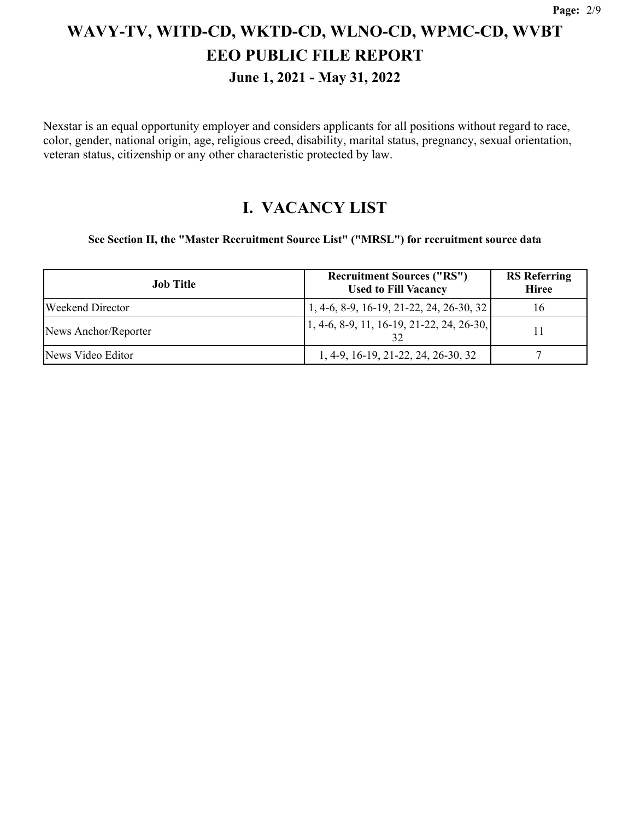**June 1, 2021 - May 31, 2022**

Nexstar is an equal opportunity employer and considers applicants for all positions without regard to race, color, gender, national origin, age, religious creed, disability, marital status, pregnancy, sexual orientation, veteran status, citizenship or any other characteristic protected by law.

#### **I. VACANCY LIST**

**See Section II, the "Master Recruitment Source List" ("MRSL") for recruitment source data**

| <b>Job Title</b>     | <b>Recruitment Sources ("RS")</b><br><b>Used to Fill Vacancy</b> | <b>RS</b> Referring<br><b>Hiree</b> |
|----------------------|------------------------------------------------------------------|-------------------------------------|
| Weekend Director     | 1, 4-6, 8-9, 16-19, 21-22, 24, 26-30, 32                         | 16                                  |
| News Anchor/Reporter | $\vert 1, 4-6, 8-9, 11, 16-19, 21-22, 24, 26-30, \vert$          |                                     |
| News Video Editor    | 1, 4-9, 16-19, 21-22, 24, 26-30, 32                              |                                     |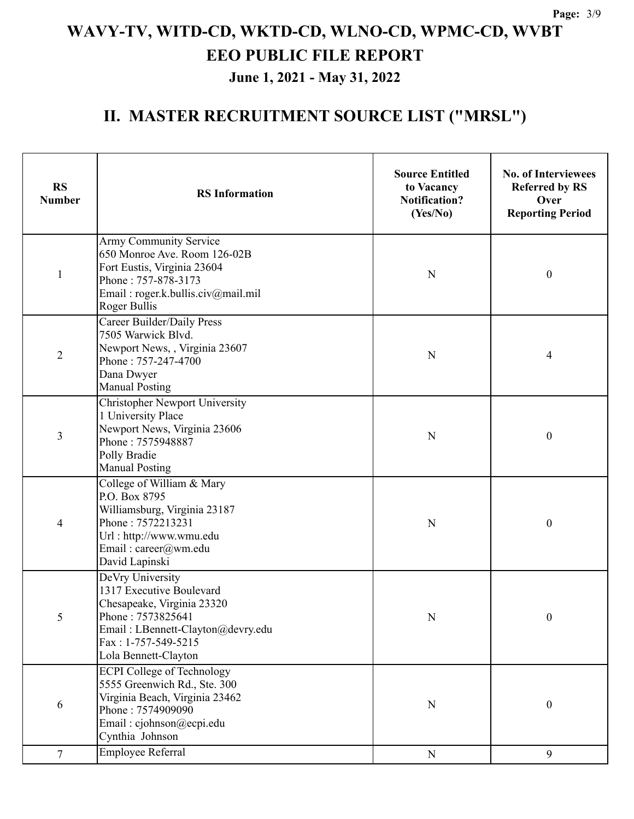**June 1, 2021 - May 31, 2022**

| <b>RS</b><br><b>Number</b> | <b>RS</b> Information                                                                                                                                                                               | <b>Source Entitled</b><br>to Vacancy<br><b>Notification?</b><br>(Yes/No) | <b>No. of Interviewees</b><br><b>Referred by RS</b><br>Over<br><b>Reporting Period</b> |
|----------------------------|-----------------------------------------------------------------------------------------------------------------------------------------------------------------------------------------------------|--------------------------------------------------------------------------|----------------------------------------------------------------------------------------|
| $\mathbf{1}$               | Army Community Service<br>650 Monroe Ave. Room 126-02B<br>Fort Eustis, Virginia 23604<br>Phone: 757-878-3173<br>Email: roger.k.bullis.civ@mail.mil<br>Roger Bullis                                  | N                                                                        | $\boldsymbol{0}$                                                                       |
| $\overline{2}$             | Career Builder/Daily Press<br>7505 Warwick Blvd.<br>Newport News, , Virginia 23607<br>Phone: 757-247-4700<br>Dana Dwyer<br><b>Manual Posting</b>                                                    | N                                                                        | 4                                                                                      |
| 3                          | <b>Christopher Newport University</b><br>1 University Place<br>Newport News, Virginia 23606<br>Phone: 7575948887<br>Polly Bradie<br><b>Manual Posting</b>                                           | N                                                                        | $\boldsymbol{0}$                                                                       |
| 4                          | College of William & Mary<br>P.O. Box 8795<br>Williamsburg, Virginia 23187<br>Phone: 7572213231<br>Url: http://www.wmu.edu<br>Email: career@wm.edu<br>David Lapinski                                | N                                                                        | $\boldsymbol{0}$                                                                       |
| 5                          | DeVry University<br>1317 Executive Boulevard<br>Chesapeake, Virginia 23320<br>Phone: 7573825641<br>Email: LBennett-Clayton@devry.edu<br>Fax: 1-757-549-5215<br>Lola Bennett-Clayton                 | $\mathbf N$                                                              | $\mathbf{0}$                                                                           |
| 6                          | <b>ECPI College of Technology</b><br>5555 Greenwich Rd., Ste. 300<br>Virginia Beach, Virginia 23462<br>Phone: 7574909090<br>Email: cjohnson@ecpi.edu<br>Cynthia Johnson<br><b>Employee Referral</b> | N                                                                        | $\boldsymbol{0}$                                                                       |
| 7                          |                                                                                                                                                                                                     | ${\bf N}$                                                                | 9                                                                                      |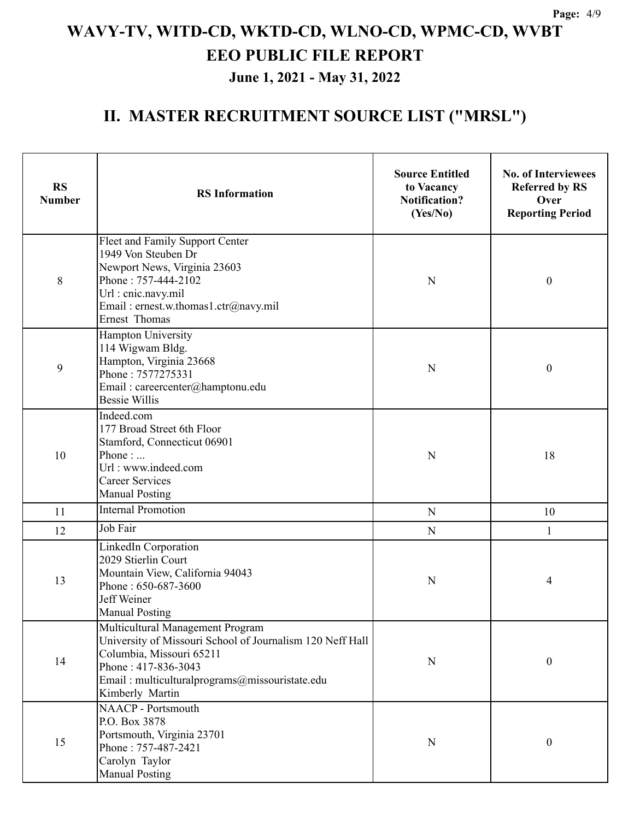**June 1, 2021 - May 31, 2022**

| <b>RS</b><br><b>Number</b> | <b>RS</b> Information                                                                                                                                                                                                 | <b>Source Entitled</b><br>to Vacancy<br><b>Notification?</b><br>(Yes/No) | <b>No. of Interviewees</b><br><b>Referred by RS</b><br>Over<br><b>Reporting Period</b> |
|----------------------------|-----------------------------------------------------------------------------------------------------------------------------------------------------------------------------------------------------------------------|--------------------------------------------------------------------------|----------------------------------------------------------------------------------------|
| 8                          | Fleet and Family Support Center<br>1949 Von Steuben Dr<br>Newport News, Virginia 23603<br>Phone: 757-444-2102<br>Url : cnic.navy.mil<br>Email: ernest.w.thomas1.ctr@navy.mil<br>Ernest Thomas                         | N                                                                        | $\boldsymbol{0}$                                                                       |
| 9                          | Hampton University<br>114 Wigwam Bldg.<br>Hampton, Virginia 23668<br>Phone: 7577275331<br>Email: careercenter@hamptonu.edu<br><b>Bessie Willis</b>                                                                    | N                                                                        | $\boldsymbol{0}$                                                                       |
| 10                         | Indeed.com<br>177 Broad Street 6th Floor<br>Stamford, Connecticut 06901<br>Phone:<br>Url: www.indeed.com<br><b>Career Services</b><br><b>Manual Posting</b>                                                           | N                                                                        | 18                                                                                     |
| 11                         | <b>Internal Promotion</b>                                                                                                                                                                                             | ${\bf N}$                                                                | 10                                                                                     |
| 12                         | Job Fair                                                                                                                                                                                                              | ${\bf N}$                                                                | 1                                                                                      |
| 13                         | LinkedIn Corporation<br>2029 Stierlin Court<br>Mountain View, California 94043<br>Phone: 650-687-3600<br>Jeff Weiner<br><b>Manual Posting</b>                                                                         | N                                                                        | 4                                                                                      |
| 14                         | Multicultural Management Program<br>University of Missouri School of Journalism 120 Neff Hall<br>Columbia, Missouri 65211<br>Phone: 417-836-3043<br>Email: multiculturalprograms@missouristate.edu<br>Kimberly Martin | N                                                                        | $\boldsymbol{0}$                                                                       |
| 15                         | <b>NAACP</b> - Portsmouth<br>P.O. Box 3878<br>Portsmouth, Virginia 23701<br>Phone: 757-487-2421<br>Carolyn Taylor<br><b>Manual Posting</b>                                                                            | ${\bf N}$                                                                | $\boldsymbol{0}$                                                                       |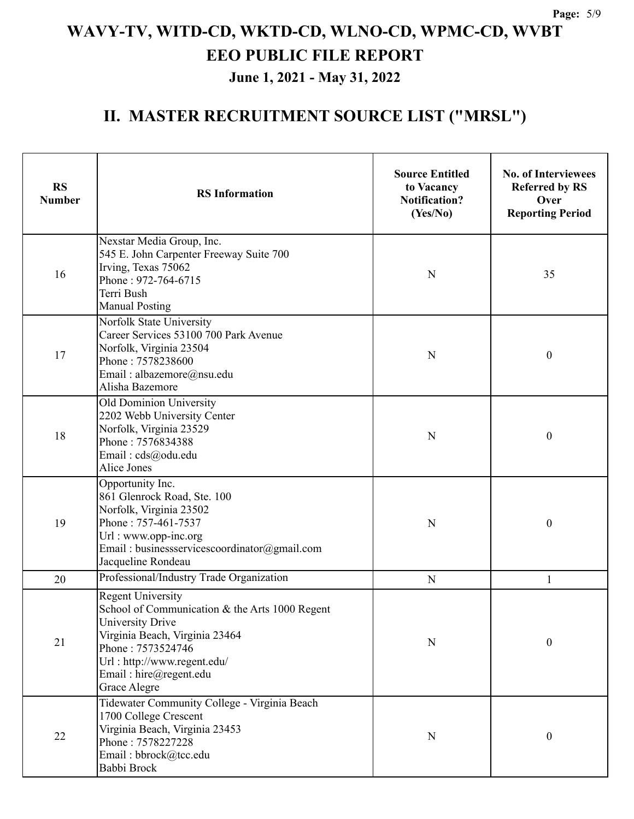**June 1, 2021 - May 31, 2022**

| <b>RS</b><br><b>Number</b> | <b>RS</b> Information                                                                                                                                                                                                          | <b>Source Entitled</b><br>to Vacancy<br><b>Notification?</b><br>(Yes/No) | <b>No. of Interviewees</b><br><b>Referred by RS</b><br>Over<br><b>Reporting Period</b> |
|----------------------------|--------------------------------------------------------------------------------------------------------------------------------------------------------------------------------------------------------------------------------|--------------------------------------------------------------------------|----------------------------------------------------------------------------------------|
| 16                         | Nexstar Media Group, Inc.<br>545 E. John Carpenter Freeway Suite 700<br>Irving, Texas 75062<br>Phone: 972-764-6715<br>Terri Bush<br><b>Manual Posting</b>                                                                      | N                                                                        | 35                                                                                     |
| 17                         | Norfolk State University<br>Career Services 53100 700 Park Avenue<br>Norfolk, Virginia 23504<br>Phone: 7578238600<br>Email: albazemore@nsu.edu<br>Alisha Bazemore                                                              | N                                                                        | $\boldsymbol{0}$                                                                       |
| 18                         | Old Dominion University<br>2202 Webb University Center<br>Norfolk, Virginia 23529<br>Phone: 7576834388<br>Email: cds@odu.edu<br>Alice Jones                                                                                    | N                                                                        | $\boldsymbol{0}$                                                                       |
| 19                         | Opportunity Inc.<br>861 Glenrock Road, Ste. 100<br>Norfolk, Virginia 23502<br>Phone: 757-461-7537<br>Url: www.opp-inc.org<br>Email: businessservicescoordinator@gmail.com<br>Jacqueline Rondeau                                | N                                                                        | $\mathbf{0}$                                                                           |
| 20                         | Professional/Industry Trade Organization                                                                                                                                                                                       | N                                                                        | 1                                                                                      |
| 21                         | <b>Regent University</b><br>School of Communication & the Arts 1000 Regent<br>University Drive<br>Virginia Beach, Virginia 23464<br>Phone: 7573524746<br>Url: http://www.regent.edu/<br>Email: hire@regent.edu<br>Grace Alegre | N                                                                        | $\mathbf{0}$                                                                           |
| 22                         | Tidewater Community College - Virginia Beach<br>1700 College Crescent<br>Virginia Beach, Virginia 23453<br>Phone: 7578227228<br>Email: bbrock@tcc.edu<br>Babbi Brock                                                           | $\mathbf N$                                                              | $\boldsymbol{0}$                                                                       |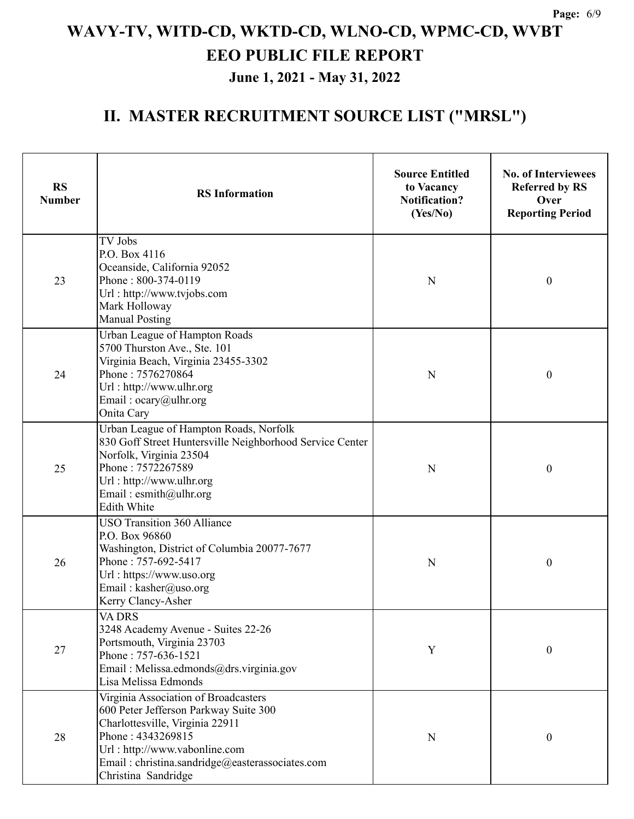**June 1, 2021 - May 31, 2022**

| <b>RS</b><br><b>Number</b> | <b>RS</b> Information                                                                                                                                                                                                                            | <b>Source Entitled</b><br>to Vacancy<br>Notification?<br>(Yes/No) | <b>No. of Interviewees</b><br><b>Referred by RS</b><br>Over<br><b>Reporting Period</b> |
|----------------------------|--------------------------------------------------------------------------------------------------------------------------------------------------------------------------------------------------------------------------------------------------|-------------------------------------------------------------------|----------------------------------------------------------------------------------------|
| 23                         | TV Jobs<br>P.O. Box 4116<br>Oceanside, California 92052<br>Phone: 800-374-0119<br>Url: http://www.tvjobs.com<br>Mark Holloway<br><b>Manual Posting</b>                                                                                           | N                                                                 | $\boldsymbol{0}$                                                                       |
| 24                         | Urban League of Hampton Roads<br>5700 Thurston Ave., Ste. 101<br>Virginia Beach, Virginia 23455-3302<br>Phone: 7576270864<br>Url: http://www.ulhr.org<br>Email: $ocary@$ ulhr.org<br>Onita Cary                                                  | N                                                                 | $\boldsymbol{0}$                                                                       |
| 25                         | Urban League of Hampton Roads, Norfolk<br>830 Goff Street Huntersville Neighborhood Service Center<br>Norfolk, Virginia 23504<br>Phone: 7572267589<br>Url: http://www.ulhr.org<br>Email: esmith@ulhr.org<br><b>Edith White</b>                   | N                                                                 | $\boldsymbol{0}$                                                                       |
| 26                         | <b>USO Transition 360 Alliance</b><br>P.O. Box 96860<br>Washington, District of Columbia 20077-7677<br>Phone: 757-692-5417<br>Url: https://www.uso.org<br>Email: kasher@uso.org<br>Kerry Clancy-Asher                                            | N                                                                 | $\boldsymbol{0}$                                                                       |
| 27                         | <b>VA DRS</b><br>3248 Academy Avenue - Suites 22-26<br>Portsmouth, Virginia 23703<br>Phone: 757-636-1521<br>Email: Melissa.edmonds@drs.virginia.gov<br>Lisa Melissa Edmonds                                                                      | $\mathbf Y$                                                       | $\boldsymbol{0}$                                                                       |
| 28                         | Virginia Association of Broadcasters<br>600 Peter Jefferson Parkway Suite 300<br>Charlottesville, Virginia 22911<br>Phone: 4343269815<br>Url: http://www.vabonline.com<br>Email: christina.sandridge@easterassociates.com<br>Christina Sandridge | N                                                                 | $\boldsymbol{0}$                                                                       |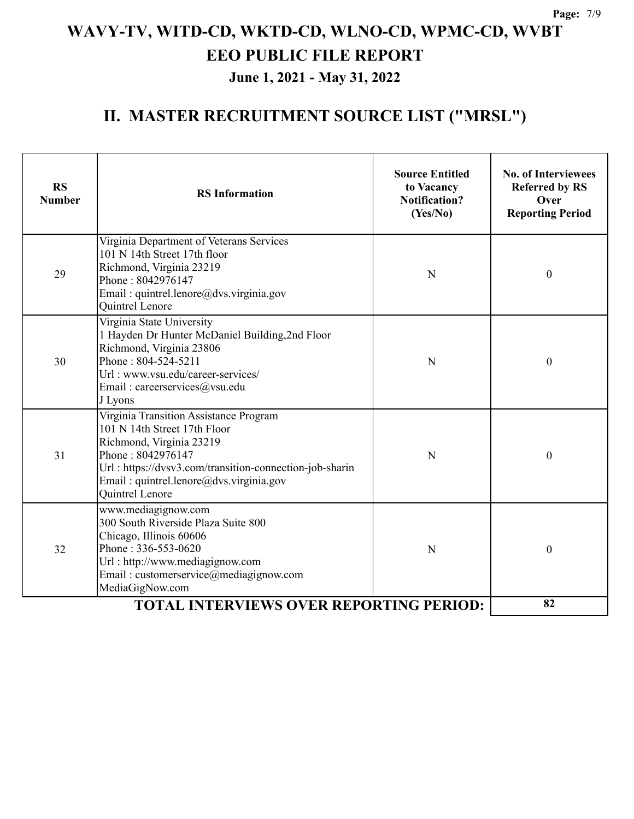**June 1, 2021 - May 31, 2022**

| <b>RS</b><br><b>Number</b>                     | <b>RS</b> Information                                                                                                                                                                                                                            | <b>Source Entitled</b><br>to Vacancy<br><b>Notification?</b><br>(Yes/No) | <b>No. of Interviewees</b><br><b>Referred by RS</b><br>Over<br><b>Reporting Period</b> |
|------------------------------------------------|--------------------------------------------------------------------------------------------------------------------------------------------------------------------------------------------------------------------------------------------------|--------------------------------------------------------------------------|----------------------------------------------------------------------------------------|
| 29                                             | Virginia Department of Veterans Services<br>101 N 14th Street 17th floor<br>Richmond, Virginia 23219<br>Phone: 8042976147<br>Email: quintrel.lenore@dvs.virginia.gov<br>Quintrel Lenore                                                          | N                                                                        | $\boldsymbol{0}$                                                                       |
| 30                                             | Virginia State University<br>1 Hayden Dr Hunter McDaniel Building, 2nd Floor<br>Richmond, Virginia 23806<br>Phone: 804-524-5211<br>Url: www.vsu.edu/career-services/<br>Email: careerservices@vsu.edu<br>J Lyons                                 | N                                                                        | $\mathbf{0}$                                                                           |
| 31                                             | Virginia Transition Assistance Program<br>101 N 14th Street 17th Floor<br>Richmond, Virginia 23219<br>Phone: 8042976147<br>Url: https://dvsv3.com/transition-connection-job-sharin<br>Email: quintrel.lenore@dvs.virginia.gov<br>Quintrel Lenore | N                                                                        | $\mathbf{0}$                                                                           |
| 32                                             | www.mediagignow.com<br>300 South Riverside Plaza Suite 800<br>Chicago, Illinois 60606<br>Phone: 336-553-0620<br>Url: http://www.mediagignow.com<br>Email: customerservice@mediagignow.com<br>MediaGigNow.com                                     | N                                                                        | $\mathbf{0}$                                                                           |
| <b>TOTAL INTERVIEWS OVER REPORTING PERIOD:</b> |                                                                                                                                                                                                                                                  |                                                                          | 82                                                                                     |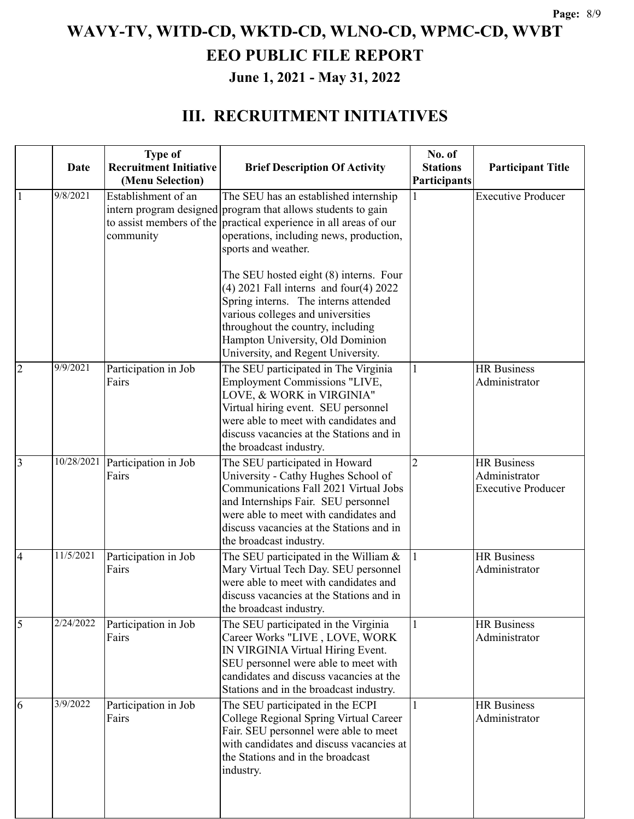**June 1, 2021 - May 31, 2022**

### **III. RECRUITMENT INITIATIVES**

|                | Date       | <b>Type of</b><br><b>Recruitment Initiative</b><br>(Menu Selection) | <b>Brief Description Of Activity</b>                                                                                                                                                                                                                                              | No. of<br><b>Stations</b><br>Participants | <b>Participant Title</b>                                         |
|----------------|------------|---------------------------------------------------------------------|-----------------------------------------------------------------------------------------------------------------------------------------------------------------------------------------------------------------------------------------------------------------------------------|-------------------------------------------|------------------------------------------------------------------|
|                | 9/8/2021   | Establishment of an<br>community                                    | The SEU has an established internship<br>intern program designed program that allows students to gain<br>to assist members of the practical experience in all areas of our<br>operations, including news, production,<br>sports and weather.                                      | 1                                         | <b>Executive Producer</b>                                        |
|                |            |                                                                     | The SEU hosted eight (8) interns. Four<br>$(4)$ 2021 Fall interns and four $(4)$ 2022<br>Spring interns. The interns attended<br>various colleges and universities<br>throughout the country, including<br>Hampton University, Old Dominion<br>University, and Regent University. |                                           |                                                                  |
| $\overline{2}$ | 9/9/2021   | Participation in Job<br>Fairs                                       | The SEU participated in The Virginia<br>Employment Commissions "LIVE,<br>LOVE, & WORK in VIRGINIA"<br>Virtual hiring event. SEU personnel<br>were able to meet with candidates and<br>discuss vacancies at the Stations and in<br>the broadcast industry.                         | 1                                         | <b>HR</b> Business<br>Administrator                              |
| $\overline{3}$ | 10/28/2021 | Participation in Job<br>Fairs                                       | The SEU participated in Howard<br>University - Cathy Hughes School of<br>Communications Fall 2021 Virtual Jobs<br>and Internships Fair. SEU personnel<br>were able to meet with candidates and<br>discuss vacancies at the Stations and in<br>the broadcast industry.             | $\overline{2}$                            | <b>HR</b> Business<br>Administrator<br><b>Executive Producer</b> |
| 4              | 11/5/2021  | Participation in Job<br>Fairs                                       | The SEU participated in the William $&$<br>Mary Virtual Tech Day. SEU personnel<br>were able to meet with candidates and<br>discuss vacancies at the Stations and in<br>the broadcast industry.                                                                                   |                                           | <b>HR</b> Business<br>Administrator                              |
| 5              | 2/24/2022  | Participation in Job<br>Fairs                                       | The SEU participated in the Virginia<br>Career Works "LIVE, LOVE, WORK<br>IN VIRGINIA Virtual Hiring Event.<br>SEU personnel were able to meet with<br>candidates and discuss vacancies at the<br>Stations and in the broadcast industry.                                         | 1                                         | <b>HR</b> Business<br>Administrator                              |
| 6              | 3/9/2022   | Participation in Job<br>Fairs                                       | The SEU participated in the ECPI<br>College Regional Spring Virtual Career<br>Fair. SEU personnel were able to meet<br>with candidates and discuss vacancies at<br>the Stations and in the broadcast<br>industry.                                                                 | 1                                         | <b>HR</b> Business<br>Administrator                              |